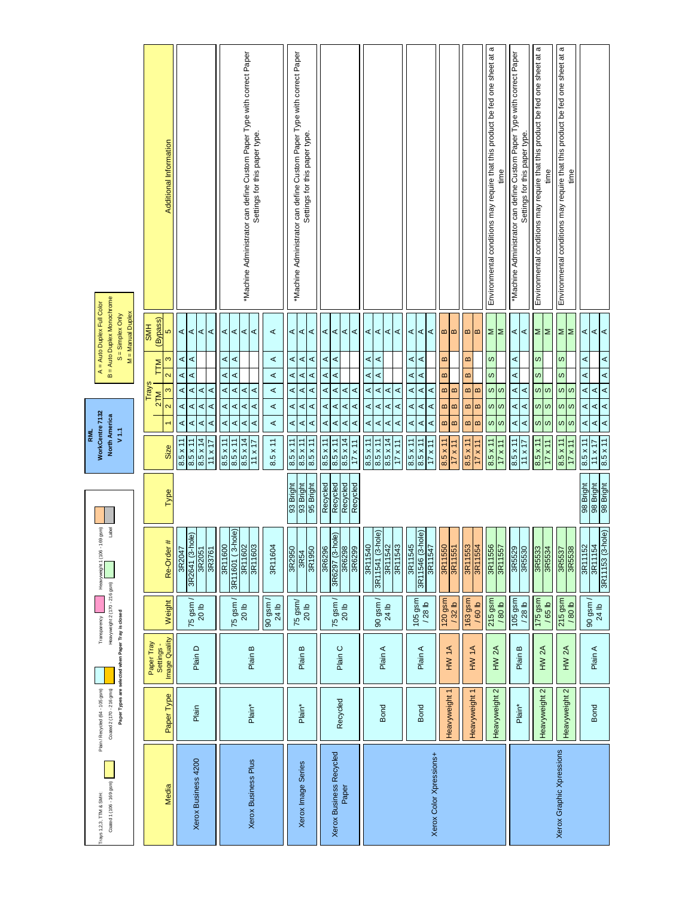| Trays 1,2,3, TTM & SMH:  | Plain / Recycled (64 - 105 gsm) |                                                    | Transparency                           | 169 gsm)<br>Heavyweight1 (106-                    |                        | WorkCentre 7132<br><b>RML</b>                                                                                                     | A = Auto Duplex Full Color                                                                                               |                                                                                                         |
|--------------------------|---------------------------------|----------------------------------------------------|----------------------------------------|---------------------------------------------------|------------------------|-----------------------------------------------------------------------------------------------------------------------------------|--------------------------------------------------------------------------------------------------------------------------|---------------------------------------------------------------------------------------------------------|
| Coated 1 (106 - 169 gsm) | Coated 2 (170 - 216 gms)        | Paper Types are selected when Paper Tray is closed | Heavyweight 2 (170 - 216 gsm)          | Label                                             |                        | <b>North America</b><br>V1.1                                                                                                      | B = Auto Duplex Monochrome<br>M = Manual Duplex<br>$S =$ Simplex Only                                                    |                                                                                                         |
|                          |                                 |                                                    |                                        |                                                   |                        |                                                                                                                                   |                                                                                                                          |                                                                                                         |
| Media                    | Paper Type                      | Image Quality<br>Paper Tray<br>Settings-           | Weight                                 | $\pmb{\ast}$<br>Re-Order                          | Type                   | $\overline{\mathbf{C}}$<br>Size                                                                                                   | (Bypass)<br><b>HMS</b><br>Ю<br>S<br>TTM<br>$\overline{\mathbf{C}}$<br>Trays<br>S<br>2TM                                  | Additional Information                                                                                  |
|                          |                                 |                                                    |                                        |                                                   |                        |                                                                                                                                   |                                                                                                                          |                                                                                                         |
| Xerox Business 4200      | Plain                           | Plain D                                            | 75 gsm /<br>20 lb                      | hole)<br>3R2051<br>3R2641 (3-<br>3R3761<br>3R2047 |                        | $\prec$<br>⋖<br>⋖<br>⋖<br>⋖<br>$\prec$<br>⋖<br>⋖<br>$8.5 \times 14$<br>$8.5 \times 11$<br>$8.5 \times 11$<br>$\overline{11}$ x 17 | $\prec$<br>$\prec$<br>⋖<br>$\prec$<br>⋖<br>⋖<br>⋖<br>⋖<br>$\prec$<br>⋖<br>⋖<br>$\prec$                                   |                                                                                                         |
|                          |                                 |                                                    |                                        |                                                   |                        |                                                                                                                                   |                                                                                                                          |                                                                                                         |
|                          |                                 |                                                    | $75$ gsm /<br>20 lb                    | 3R11601 (3-hole)<br>3R11600<br>3R11602            |                        | $\prec$<br>⋖<br>⋖<br>$\prec$<br>⋖<br>⋖<br>$8.5 \times 14$<br>$8.5 \times 11$<br>$8.5 \times 11$                                   | ⋖<br>$\prec$<br>⋖<br>$\prec$<br>⋖<br>$\prec$<br>⋖<br>⋖<br>$\prec$<br>⋖                                                   | *Machine Administrator can define Custom Paper Type with correct Paper                                  |
| Xerox Business Plus      | Plain*                          | Plain B                                            |                                        | 3R11603                                           |                        | ⋖<br>⋖<br>$11 \times 17$                                                                                                          | ⋖<br>⋖                                                                                                                   | Settings for this paper type.                                                                           |
|                          |                                 |                                                    | $90$ gsm /<br>24 lb                    | 3R1160                                            |                        | ⋖<br>⋖<br>$8.5 \times 11$                                                                                                         | ⋖<br>⋖<br>$\prec$<br>$\prec$                                                                                             |                                                                                                         |
|                          |                                 |                                                    |                                        | 3R2950                                            | 93 Bright              | ⋖<br>$\prec$<br>$8.5 \times 11$                                                                                                   | ¢<br>⋖<br>⋖<br>⋖                                                                                                         |                                                                                                         |
| Xerox Image Series       | Plain*                          | Plain B                                            | 75 gsm/<br>20 <sub>lb</sub>            | 3R1950<br>3R54                                    | 95 Bright<br>93 Bright | ⋖<br>⋖<br>⋖<br>$\prec$<br>$8.5 \times 11$<br>$8.5 \times 11$                                                                      | $\prec$<br>⋖<br>$\prec$<br>$\prec$<br>⋖<br>$\prec$<br>$\prec$<br>⋖                                                       | *Machine Administrator can define Custom Paper Type with correct Paper<br>Settings for this paper type. |
|                          |                                 |                                                    |                                        | 3R6296                                            | Recycled               | $8.5 \times 11$                                                                                                                   |                                                                                                                          |                                                                                                         |
| Xerox Business Recycled  |                                 |                                                    | $75$ gsm /                             | hole)<br>3R6297 (3-                               | Recycled               | ⋖<br>⋖<br>$8.5 \times 11$                                                                                                         | $\prec$<br>⋖<br>⋖<br>⋖<br>⋖                                                                                              |                                                                                                         |
| Paper                    | Recycled                        | Plain C                                            | 20 lb                                  |                                                   | Recycled               | ⋖<br>⋖<br>$\prec$<br>$\prec$<br>$8.5 \times 14$                                                                                   | $\prec$<br>$\prec$<br>$\prec$<br>$\prec$<br>$\prec$                                                                      |                                                                                                         |
|                          |                                 |                                                    |                                        | 3R6298                                            | Recycled               | ⋖<br>$\prec$<br>$17 \times 11$                                                                                                    | ⋖<br>⋖                                                                                                                   |                                                                                                         |
|                          |                                 |                                                    |                                        | 3R11540                                           |                        | ⋖<br>⋖<br>$8.5 \times 11$                                                                                                         | ⋖<br>⋖<br>⋖<br>⋖                                                                                                         |                                                                                                         |
|                          | <b>Bond</b>                     | Plain A                                            | $90$ gsm /                             | 3R11541 (3-hole)                                  |                        | ⋖<br>⋖<br>$8.5 \times 11$                                                                                                         | $\prec$<br>$\prec$<br>$\prec$<br>⋖                                                                                       |                                                                                                         |
|                          |                                 |                                                    | 24 lb                                  | 3R11542<br>3R11543                                |                        | ⋖<br>⋖<br>⋖<br>⋖<br>$8.5 \times 14$<br>$17 \times 11$                                                                             | A<br>⋖<br>$\prec$<br>⋖                                                                                                   |                                                                                                         |
|                          |                                 |                                                    |                                        |                                                   |                        |                                                                                                                                   |                                                                                                                          |                                                                                                         |
|                          |                                 |                                                    | 105 gsm                                | 3R11546 (3-hole)<br>3R11545                       |                        | ⋖<br>$\prec$<br>$8.5 \times 11$                                                                                                   | T<br>⋖<br>⋖<br>⋖                                                                                                         |                                                                                                         |
|                          | <b>Bond</b>                     | Plain A                                            | $/28$ lb                               | 3R1154                                            |                        | ⋖<br>⋖<br>⋖<br>⋖<br>8.5 x 11<br>$17 \times 11$                                                                                    | $\prec$<br>$\prec$<br>⋖<br>⋖<br>⋖<br>⋖                                                                                   |                                                                                                         |
| Xerox Color Xpressions+  |                                 |                                                    |                                        | 3R11550                                           |                        | $8.5 \times 11$                                                                                                                   | $\pmb{\underline{\omega}}$                                                                                               |                                                                                                         |
|                          | Heavyweight 1                   | HW 1A                                              | 120 gsm<br>$/32$ lb                    | 3R1155 <sup>-</sup>                               |                        | $\pmb{\mathsf{m}}$<br>$\mathbf{m}$<br>$\pmb{\mathsf{m}}$<br>$\mathbf{m}$<br>$17 \times 11$                                        | $\boldsymbol{\underline{\omega}}$<br>$\bf{m}$<br>$\boldsymbol{\underline{\omega}}$<br>$\pmb{\mathsf{m}}$<br>$\mathbf{m}$ |                                                                                                         |
|                          | Heavyweight 1                   | HW 1A                                              | 163 gsm<br>/ 60 lb                     | 3R11554<br>3R11553                                |                        | $\pmb{\mathrm{m}}$<br>$\bf{m}$<br>$\boldsymbol{\underline{\omega}}$<br>$\pmb{\mathrm{m}}$<br>$8.5 \times 11$<br>$17 \times 11$    | m/m<br>$\pmb{\mathsf{m}}$<br>$\bf{m}$<br>m/m                                                                             |                                                                                                         |
|                          | Heavyweight 2                   | HW <sub>2A</sub>                                   | 215 gsm                                | 3R11556                                           |                        | $\infty$<br>$\pmb{\infty}$<br>$8.5 \times 11$                                                                                     | $\geq$<br>$\omega$<br>$\omega$<br>თ $\log$                                                                               | Environmental conditions may require that this product be fed one sheet at a                            |
|                          |                                 |                                                    | / 80 lb                                | 3R1155                                            |                        | $\omega$<br>S<br>$17 \times 11$                                                                                                   | İΣ                                                                                                                       | time                                                                                                    |
|                          | Plain*                          | Plain B                                            | 105 gsm<br>$/28$ lb                    | 3R5529<br>3R5530                                  |                        | ⋖<br>⋖<br>⋖<br>⋖<br>$8.5 \times 11$<br>$11 \times 17$                                                                             | ¢<br>⋖<br>⋖<br>⋖<br>$\prec$<br>⋖                                                                                         | "Machine Administrator can define Custom Paper Type with correct Paper<br>Settings for this paper type. |
|                          | Heavyweight 2                   | HW <sub>2A</sub>                                   | 175 gsm                                | 3R5533                                            |                        | ဖ<br>ဖ<br>$8.5 \times 11$                                                                                                         | ≅∣<br>$\pmb{\infty}$<br>ဖ<br><b>v</b>   w                                                                                | Environmental conditions may require that this product be fed one sheet at a                            |
|                          |                                 |                                                    | / 65 lb                                | 3R554                                             |                        | S<br>S<br>$17 \times 11$                                                                                                          |                                                                                                                          | time                                                                                                    |
| Xerox Graphic Xpressions | Heavyweight 2                   | HW 2A                                              | 215 gsm<br>/80 lb                      | 3R5537<br>3R5538                                  |                        | $\infty$<br> ဟ<br><b>v</b>   w<br>$8.5 \times 11$                                                                                 | اا<br>S<br>$\infty$<br><b>v</b>   w                                                                                      | Environmental conditions may require that this product be fed one sheet at a                            |
|                          |                                 |                                                    |                                        |                                                   |                        | $17 \times 11$                                                                                                                    |                                                                                                                          | time                                                                                                    |
|                          |                                 | Plain A                                            |                                        | 3R11154<br>3R11152                                | 98 Bright              | ⋖<br>$\prec$<br>$8.5 \times 11$                                                                                                   | ⋖<br>⋖<br>⋖<br>$\prec$                                                                                                   |                                                                                                         |
|                          | <b>Bond</b>                     |                                                    | $\frac{90 \text{ gsm}}{24 \text{ lb}}$ | 3R11153 (3-hole)                                  | 98 Bright<br>98 Bright | ⋖<br>⋖<br>$\prec$<br>⋖<br>$8.5 \times 11$<br>$21 \times 11$                                                                       | $\prec$<br>⋖<br>∢<br>∢<br>⋖<br>⋖                                                                                         |                                                                                                         |
|                          |                                 |                                                    |                                        |                                                   |                        |                                                                                                                                   |                                                                                                                          |                                                                                                         |